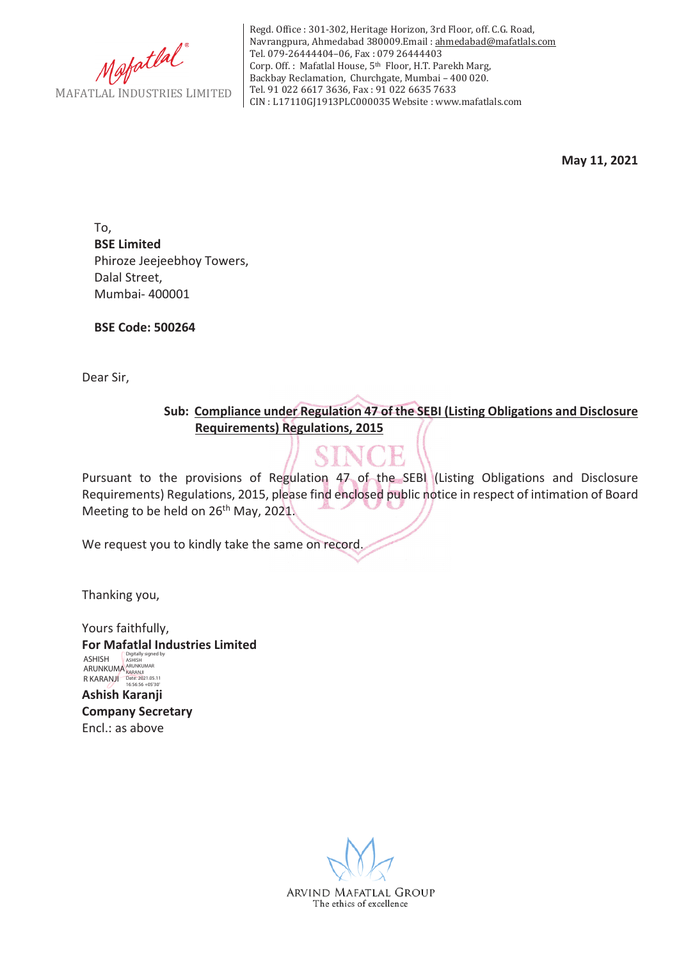

Regd. Office : 301-302, Heritage Horizon, 3rd Floor, off. C.G. Road, Navrangpura, Ahmedabad 380009.Email : ahmedabad@mafatlals.com Tel. 079-26444404–06, Fax : 079 26444403 Corp. Off. : Mafatlal House, 5th Floor, H.T. Parekh Marg, Backbay Reclamation, Churchgate, Mumbai – 400 020. Tel. 91 022 6617 3636, Fax : 91 022 6635 7633 CIN : L17110GJ1913PLC000035 Website : www.mafatlals.com

**May 11, 2021**

To, **BSE Limited** Phiroze Jeejeebhoy Towers, Dalal Street, Mumbai- 400001

**BSE Code: 500264**

Dear Sir,

**Sub:Compliance under Regulation 47 of the SEBI (Listing Obligations and Disclosure Requirements) Regulations, 2015**

Pursuant to the provisions of Regulation 47 of the SEBI (Listing Obligations and Disclosure Requirements) Regulations, 2015, please find enclosed public notice in respect of intimation of Board Meeting to be held on 26<sup>th</sup> May, 2021.

We request you to kindly take the same on record.

Thanking you,

Yours faithfully, **For Mafatlal Industries Limited Ashish Karanji Company Secretary** Encl.: as above ASHISH ARUNKUMA R KARANJI Digitally signed by ASHISH ARUNKUMAR KARANJI Date: 2021.05.11 16:56:56 +05'30'

> ARVIND MAFATLAL GROUP The ethics of excellence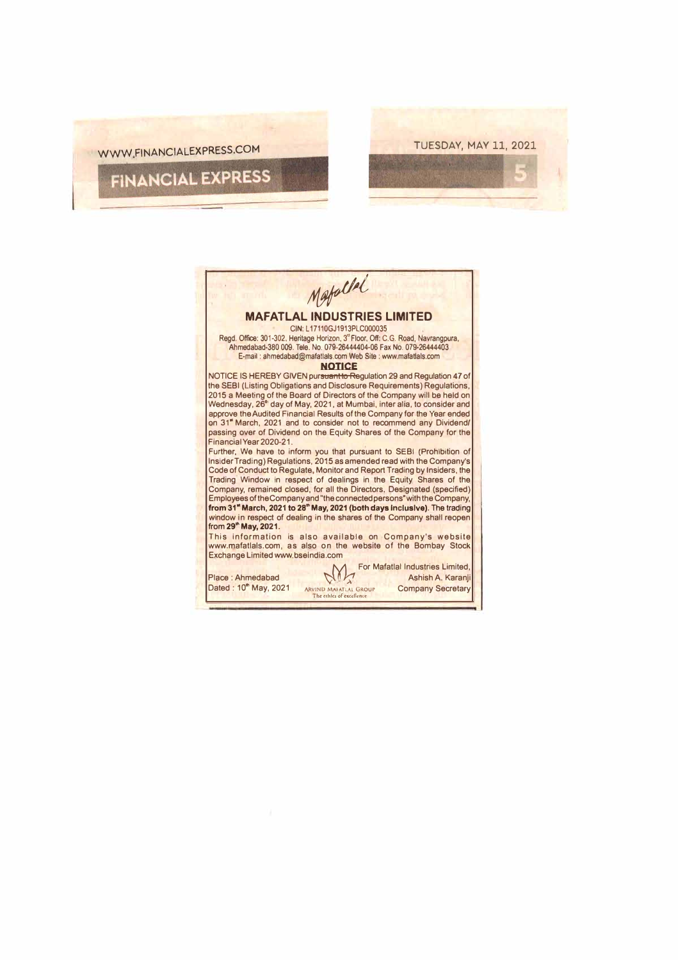

| Mafallel<br><b>MAFATLAL INDUSTRIES LIMITED</b><br>CIN: L17110GJ1913PLC000035<br>Read. Office: 301-302. Heritage Horizon. 3 <sup>°</sup> Floor. Off: C.G. Road. Navrangpura.<br>Ahmedabad-380 009, Tele, No. 079-26444404-06 Fax No. 079-26444403<br>E-mail: ahmedabad@mafatlals.com Web Site: www.mafatlals.com<br><b>NOTICE</b>                                                                                                                                                                                                |
|---------------------------------------------------------------------------------------------------------------------------------------------------------------------------------------------------------------------------------------------------------------------------------------------------------------------------------------------------------------------------------------------------------------------------------------------------------------------------------------------------------------------------------|
|                                                                                                                                                                                                                                                                                                                                                                                                                                                                                                                                 |
| NOTICE IS HEREBY GIVEN pursuant to Regulation 29 and Regulation 47 of<br>the SEBI (Listing Obligations and Disclosure Requirements) Regulations,<br>2015 a Meeting of the Board of Directors of the Company will be held on<br>Wednesday, 26th day of May, 2021, at Mumbai, inter alia, to consider and<br>approve the Audited Financial Results of the Company for the Year ended<br>on 31" March, 2021 and to consider not to recommend any Dividend/<br>passing over of Dividend on the Equity Shares of the Company for the |
|                                                                                                                                                                                                                                                                                                                                                                                                                                                                                                                                 |
|                                                                                                                                                                                                                                                                                                                                                                                                                                                                                                                                 |
|                                                                                                                                                                                                                                                                                                                                                                                                                                                                                                                                 |
|                                                                                                                                                                                                                                                                                                                                                                                                                                                                                                                                 |
|                                                                                                                                                                                                                                                                                                                                                                                                                                                                                                                                 |
|                                                                                                                                                                                                                                                                                                                                                                                                                                                                                                                                 |
|                                                                                                                                                                                                                                                                                                                                                                                                                                                                                                                                 |
|                                                                                                                                                                                                                                                                                                                                                                                                                                                                                                                                 |
|                                                                                                                                                                                                                                                                                                                                                                                                                                                                                                                                 |
|                                                                                                                                                                                                                                                                                                                                                                                                                                                                                                                                 |
| Financial Year 2020-21.                                                                                                                                                                                                                                                                                                                                                                                                                                                                                                         |
| Further, We have to inform you that pursuant to SEBI (Prohibition of<br>Insider Trading) Regulations, 2015 as amended read with the Company's                                                                                                                                                                                                                                                                                                                                                                                   |
| Code of Conduct to Regulate, Monitor and Report Trading by Insiders, the                                                                                                                                                                                                                                                                                                                                                                                                                                                        |
| Trading Window in respect of dealings in the Equity Shares of the                                                                                                                                                                                                                                                                                                                                                                                                                                                               |
| Company, remained closed, for all the Directors, Designated (specified)                                                                                                                                                                                                                                                                                                                                                                                                                                                         |
| Employees of the Company and "the connected persons" with the Company,                                                                                                                                                                                                                                                                                                                                                                                                                                                          |
| from 31" March, 2021 to 28" May, 2021 (both days inclusive). The trading                                                                                                                                                                                                                                                                                                                                                                                                                                                        |
| window in respect of dealing in the shares of the Company shall reopen                                                                                                                                                                                                                                                                                                                                                                                                                                                          |
| from 29 <sup>th</sup> May, 2021.                                                                                                                                                                                                                                                                                                                                                                                                                                                                                                |
| This information is also available on Company's website                                                                                                                                                                                                                                                                                                                                                                                                                                                                         |
| www.mafatlals.com, as also on the website of the Bombay Stock<br>Exchange Limited www.bseindia.com                                                                                                                                                                                                                                                                                                                                                                                                                              |
|                                                                                                                                                                                                                                                                                                                                                                                                                                                                                                                                 |
| For Mafatlal Industries Limited.                                                                                                                                                                                                                                                                                                                                                                                                                                                                                                |
| Ashish A. Karanii<br>Place: Ahmedabad<br>Dated: 10 <sup>th</sup> May, 2021<br><b>Company Secretary</b><br><b>ARVIND MAFATLAL GROUP</b>                                                                                                                                                                                                                                                                                                                                                                                          |